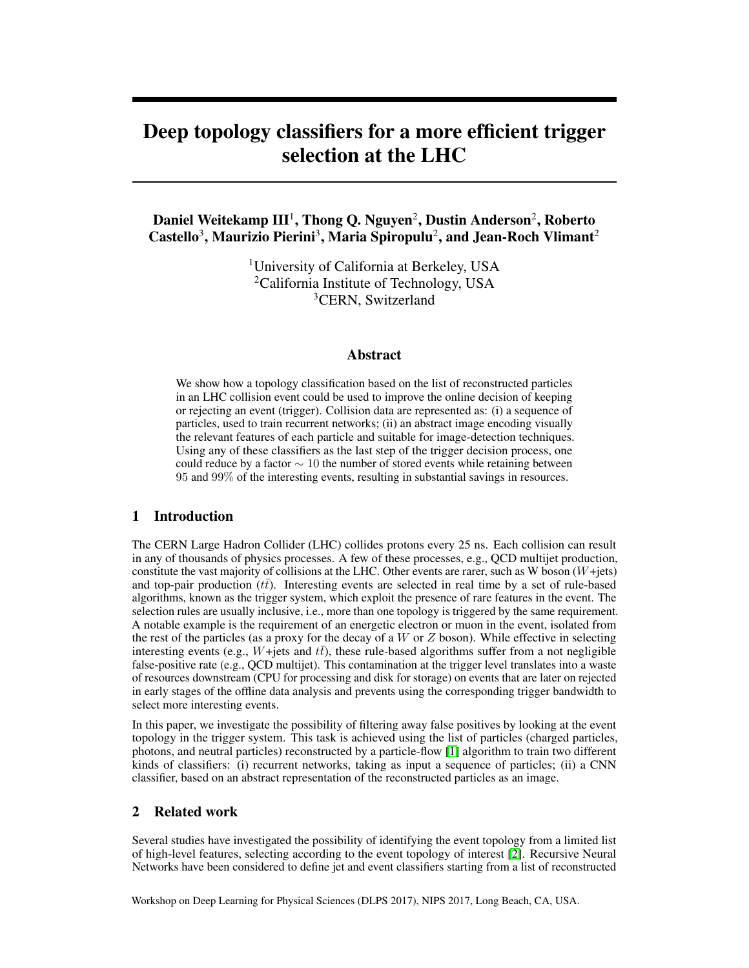# Deep topology classifiers for a more efficient trigger selection at the LHC

Daniel Weitekamp III<sup>1</sup>, Thong Q. Nguyen<sup>2</sup>, Dustin Anderson<sup>2</sup>, Roberto Castello<sup>3</sup>, Maurizio Pierini<sup>3</sup>, Maria Spiropulu<sup>2</sup>, and Jean-Roch Vlimant<sup>2</sup>

> <sup>1</sup>University of California at Berkeley, USA <sup>2</sup>California Institute of Technology, USA <sup>3</sup>CERN, Switzerland

#### Abstract

We show how a topology classification based on the list of reconstructed particles in an LHC collision event could be used to improve the online decision of keeping or rejecting an event (trigger). Collision data are represented as: (i) a sequence of particles, used to train recurrent networks; (ii) an abstract image encoding visually the relevant features of each particle and suitable for image-detection techniques. Using any of these classifiers as the last step of the trigger decision process, one could reduce by a factor  $\sim$  10 the number of stored events while retaining between 95 and 99% of the interesting events, resulting in substantial savings in resources.

#### 1 Introduction

The CERN Large Hadron Collider (LHC) collides protons every 25 ns. Each collision can result in any of thousands of physics processes. A few of these processes, e.g., QCD multijet production, constitute the vast majority of collisions at the LHC. Other events are rarer, such as W boson ( $W+$ jets) and top-pair production  $(t\bar{t})$ . Interesting events are selected in real time by a set of rule-based algorithms, known as the trigger system, which exploit the presence of rare features in the event. The selection rules are usually inclusive, i.e., more than one topology is triggered by the same requirement. A notable example is the requirement of an energetic electron or muon in the event, isolated from the rest of the particles (as a proxy for the decay of a  $W$  or  $Z$  boson). While effective in selecting interesting events (e.g., W+jets and  $t\bar{t}$ ), these rule-based algorithms suffer from a not negligible false-positive rate (e.g., QCD multijet). This contamination at the trigger level translates into a waste of resources downstream (CPU for processing and disk for storage) on events that are later on rejected in early stages of the offline data analysis and prevents using the corresponding trigger bandwidth to select more interesting events.

In this paper, we investigate the possibility of filtering away false positives by looking at the event topology in the trigger system. This task is achieved using the list of particles (charged particles, photons, and neutral particles) reconstructed by a particle-flow [\[1\]](#page-3-0) algorithm to train two different kinds of classifiers: (i) recurrent networks, taking as input a sequence of particles; (ii) a CNN classifier, based on an abstract representation of the reconstructed particles as an image.

## 2 Related work

Several studies have investigated the possibility of identifying the event topology from a limited list of high-level features, selecting according to the event topology of interest [\[2\]](#page-3-1). Recursive Neural Networks have been considered to define jet and event classifiers starting from a list of reconstructed

Workshop on Deep Learning for Physical Sciences (DLPS 2017), NIPS 2017, Long Beach, CA, USA.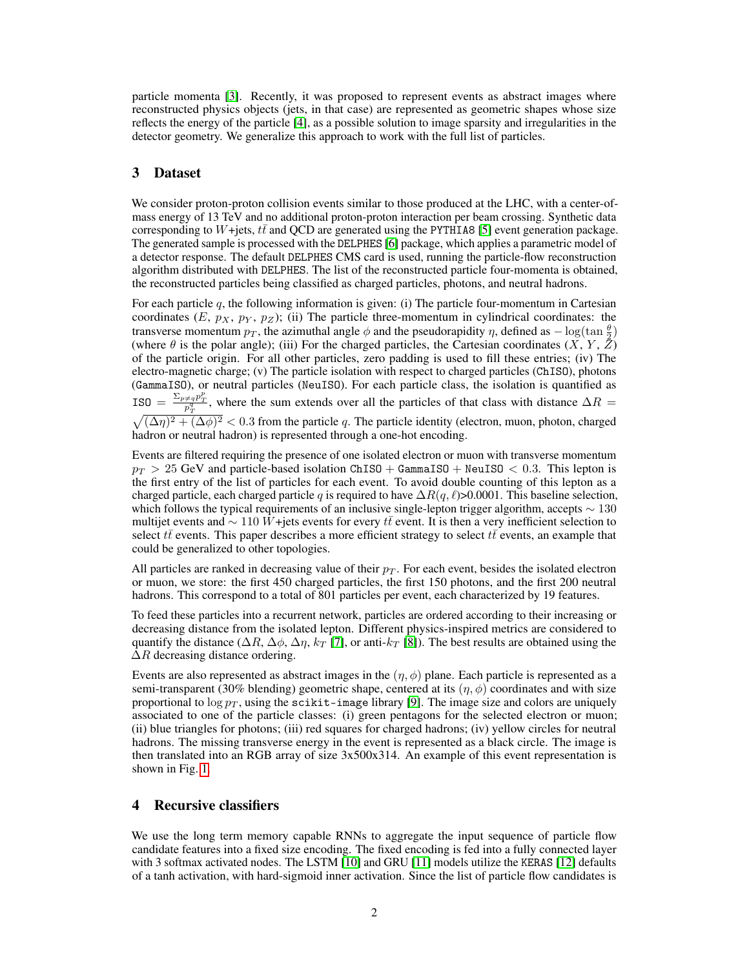particle momenta [\[3\]](#page-4-0). Recently, it was proposed to represent events as abstract images where reconstructed physics objects (jets, in that case) are represented as geometric shapes whose size reflects the energy of the particle [\[4\]](#page-4-1), as a possible solution to image sparsity and irregularities in the detector geometry. We generalize this approach to work with the full list of particles.

### 3 Dataset

We consider proton-proton collision events similar to those produced at the LHC, with a center-ofmass energy of 13 TeV and no additional proton-proton interaction per beam crossing. Synthetic data corresponding to W+jets,  $t\bar{t}$  and QCD are generated using the PYTHIA8 [\[5\]](#page-4-2) event generation package. The generated sample is processed with the DELPHES [\[6\]](#page-4-3) package, which applies a parametric model of a detector response. The default DELPHES CMS card is used, running the particle-flow reconstruction algorithm distributed with DELPHES. The list of the reconstructed particle four-momenta is obtained, the reconstructed particles being classified as charged particles, photons, and neutral hadrons.

For each particle  $q$ , the following information is given: (i) The particle four-momentum in Cartesian coordinates (E,  $p_X$ ,  $p_Y$ ,  $p_Z$ ); (ii) The particle three-momentum in cylindrical coordinates: the transverse momentum  $p_T$ , the azimuthal angle  $\phi$  and the pseudorapidity  $\eta$ , defined as  $-\log(\tan \frac{\theta}{2})$ (where  $\theta$  is the polar angle); (iii) For the charged particles, the Cartesian coordinates  $(X, Y, Z)$ of the particle origin. For all other particles, zero padding is used to fill these entries; (iv) The electro-magnetic charge; (v) The particle isolation with respect to charged particles (ChISO), photons (GammaISO), or neutral particles (NeuISO). For each particle class, the isolation is quantified as ISO =  $\frac{\Sigma_{p\neq q}p_T^p}{p_T^q}$ , where the sum extends over all the particles of that class with distance  $\Delta R$  =  $\sqrt{(\Delta \eta)^2 + (\Delta \phi)^2}$  < 0.3 from the particle q. The particle identity (electron, muon, photon, charged hadron or neutral hadron) is represented through a one-hot encoding.

Events are filtered requiring the presence of one isolated electron or muon with transverse momentum  $p_T > 25$  GeV and particle-based isolation ChISO + GammaISO + NeuISO < 0.3. This lepton is the first entry of the list of particles for each event. To avoid double counting of this lepton as a charged particle, each charged particle q is required to have  $\Delta R(q, \ell)$ >0.0001. This baseline selection, which follows the typical requirements of an inclusive single-lepton trigger algorithm, accepts  $\sim 130$ multijet events and  $\sim 110 W +$ jets events for every  $t\bar{t}$  event. It is then a very inefficient selection to select tt events. This paper describes a more efficient strategy to select tt events, an example that could be generalized to other topologies.

All particles are ranked in decreasing value of their  $p_T$ . For each event, besides the isolated electron or muon, we store: the first 450 charged particles, the first 150 photons, and the first 200 neutral hadrons. This correspond to a total of 801 particles per event, each characterized by 19 features.

To feed these particles into a recurrent network, particles are ordered according to their increasing or decreasing distance from the isolated lepton. Different physics-inspired metrics are considered to quantify the distance ( $\Delta R$ ,  $\Delta \phi$ ,  $\Delta \eta$ ,  $k_T$  [\[7\]](#page-4-4), or anti- $k_T$  [\[8\]](#page-4-5)). The best results are obtained using the  $\Delta R$  decreasing distance ordering.

Events are also represented as abstract images in the  $(\eta, \phi)$  plane. Each particle is represented as a semi-transparent (30% blending) geometric shape, centered at its  $(\eta, \phi)$  coordinates and with size proportional to  $\log p_T$ , using the scikit-image library [\[9\]](#page-4-6). The image size and colors are uniquely associated to one of the particle classes: (i) green pentagons for the selected electron or muon; (ii) blue triangles for photons; (iii) red squares for charged hadrons; (iv) yellow circles for neutral hadrons. The missing transverse energy in the event is represented as a black circle. The image is then translated into an RGB array of size 3x500x314. An example of this event representation is shown in Fig. [1.](#page-2-0)

## 4 Recursive classifiers

We use the long term memory capable RNNs to aggregate the input sequence of particle flow candidate features into a fixed size encoding. The fixed encoding is fed into a fully connected layer with 3 softmax activated nodes. The LSTM [\[10\]](#page-4-7) and GRU [\[11\]](#page-4-8) models utilize the KERAS [\[12\]](#page-4-9) defaults of a tanh activation, with hard-sigmoid inner activation. Since the list of particle flow candidates is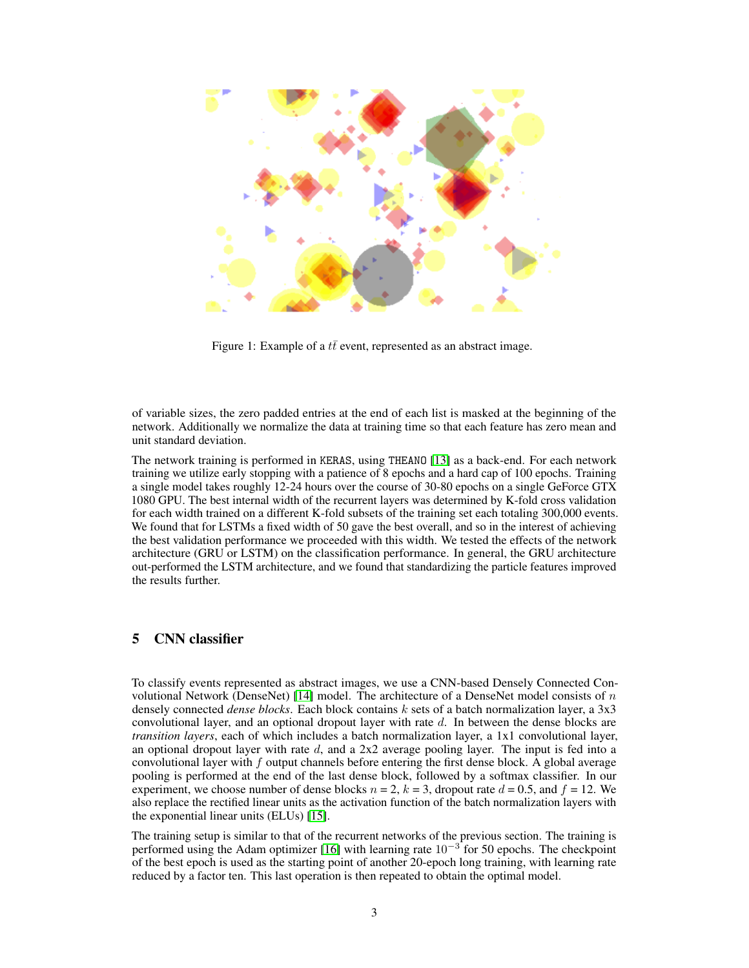

Figure 1: Example of a  $t\bar{t}$  event, represented as an abstract image.

<span id="page-2-0"></span>of variable sizes, the zero padded entries at the end of each list is masked at the beginning of the network. Additionally we normalize the data at training time so that each feature has zero mean and unit standard deviation.

The network training is performed in KERAS, using THEANO [\[13\]](#page-4-10) as a back-end. For each network training we utilize early stopping with a patience of 8 epochs and a hard cap of 100 epochs. Training a single model takes roughly 12-24 hours over the course of 30-80 epochs on a single GeForce GTX 1080 GPU. The best internal width of the recurrent layers was determined by K-fold cross validation for each width trained on a different K-fold subsets of the training set each totaling 300,000 events. We found that for LSTMs a fixed width of 50 gave the best overall, and so in the interest of achieving the best validation performance we proceeded with this width. We tested the effects of the network architecture (GRU or LSTM) on the classification performance. In general, the GRU architecture out-performed the LSTM architecture, and we found that standardizing the particle features improved the results further.

## 5 CNN classifier

To classify events represented as abstract images, we use a CNN-based Densely Connected Con-volutional Network (DenseNet) [\[14\]](#page-4-11) model. The architecture of a DenseNet model consists of  $n$ densely connected *dense blocks*. Each block contains k sets of a batch normalization layer, a 3x3 convolutional layer, and an optional dropout layer with rate  $d$ . In between the dense blocks are *transition layers*, each of which includes a batch normalization layer, a 1x1 convolutional layer, an optional dropout layer with rate  $d$ , and a 2x2 average pooling layer. The input is fed into a convolutional layer with  $f$  output channels before entering the first dense block. A global average pooling is performed at the end of the last dense block, followed by a softmax classifier. In our experiment, we choose number of dense blocks  $n = 2$ ,  $k = 3$ , dropout rate  $d = 0.5$ , and  $f = 12$ . We also replace the rectified linear units as the activation function of the batch normalization layers with the exponential linear units (ELUs) [\[15\]](#page-4-12).

The training setup is similar to that of the recurrent networks of the previous section. The training is performed using the Adam optimizer [\[16\]](#page-4-13) with learning rate  $10^{-3}$  for 50 epochs. The checkpoint of the best epoch is used as the starting point of another 20-epoch long training, with learning rate reduced by a factor ten. This last operation is then repeated to obtain the optimal model.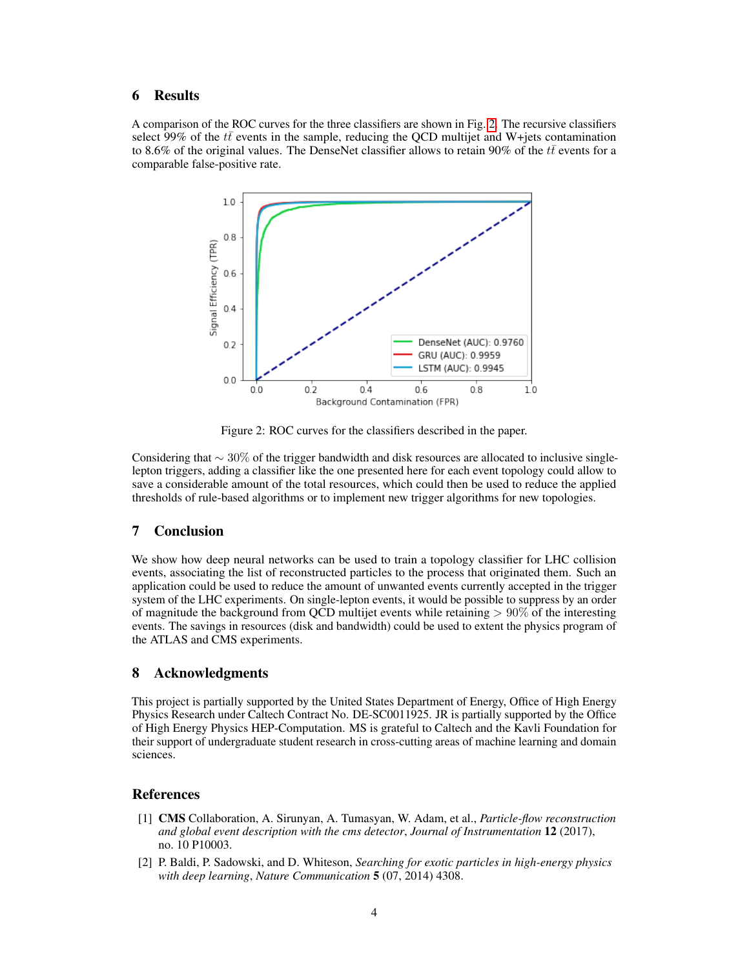## 6 Results

A comparison of the ROC curves for the three classifiers are shown in Fig. [2.](#page-3-2) The recursive classifiers select 99% of the  $t\bar{t}$  events in the sample, reducing the QCD multijet and W+jets contamination to 8.6% of the original values. The DenseNet classifier allows to retain 90% of the  $t\bar{t}$  events for a comparable false-positive rate.



<span id="page-3-2"></span>Figure 2: ROC curves for the classifiers described in the paper.

Considering that  $\sim 30\%$  of the trigger bandwidth and disk resources are allocated to inclusive singlelepton triggers, adding a classifier like the one presented here for each event topology could allow to save a considerable amount of the total resources, which could then be used to reduce the applied thresholds of rule-based algorithms or to implement new trigger algorithms for new topologies.

## 7 Conclusion

We show how deep neural networks can be used to train a topology classifier for LHC collision events, associating the list of reconstructed particles to the process that originated them. Such an application could be used to reduce the amount of unwanted events currently accepted in the trigger system of the LHC experiments. On single-lepton events, it would be possible to suppress by an order of magnitude the background from QCD multijet events while retaining  $> 90\%$  of the interesting events. The savings in resources (disk and bandwidth) could be used to extent the physics program of the ATLAS and CMS experiments.

## 8 Acknowledgments

This project is partially supported by the United States Department of Energy, Office of High Energy Physics Research under Caltech Contract No. DE-SC0011925. JR is partially supported by the Office of High Energy Physics HEP-Computation. MS is grateful to Caltech and the Kavli Foundation for their support of undergraduate student research in cross-cutting areas of machine learning and domain sciences.

## References

- <span id="page-3-0"></span>[1] CMS Collaboration, A. Sirunyan, A. Tumasyan, W. Adam, et al., *Particle-flow reconstruction and global event description with the cms detector*, *Journal of Instrumentation* 12 (2017), no. 10 P10003.
- <span id="page-3-1"></span>[2] P. Baldi, P. Sadowski, and D. Whiteson, *Searching for exotic particles in high-energy physics with deep learning*, *Nature Communication* 5 (07, 2014) 4308.